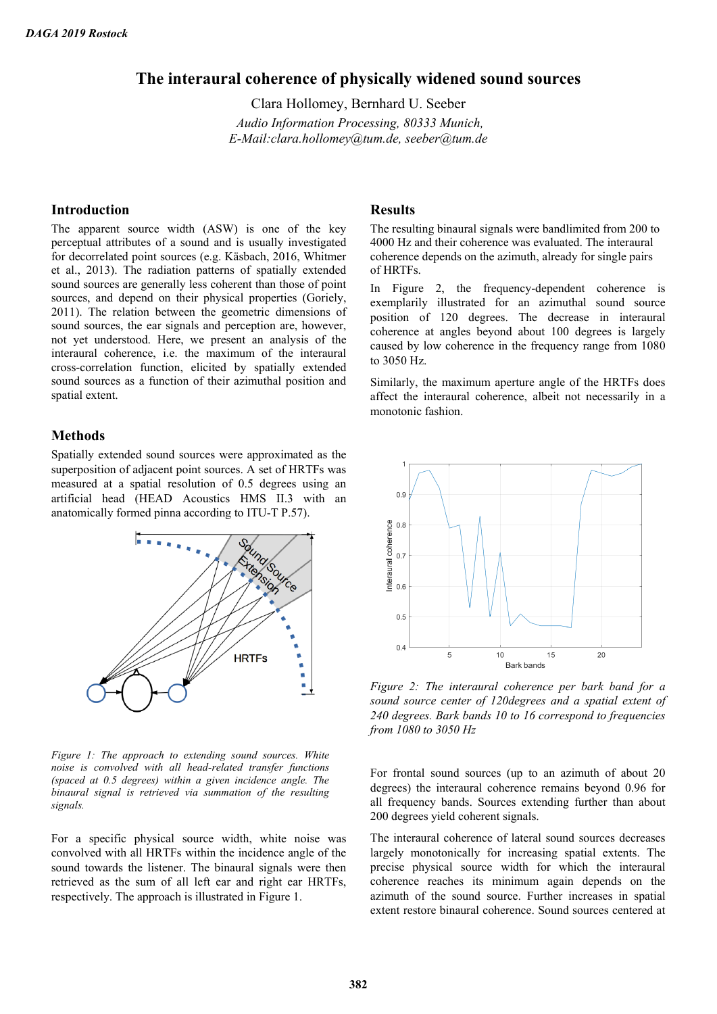# **The interaural coherence of physically widened sound sources**

Clara Hollomey, Bernhard U. Seeber *Audio Information Processing, 80333 Munich, E-Mail:clara.hollomey@tum.de, seeber@tum.de*

### **Introduction**

The apparent source width (ASW) is one of the key perceptual attributes of a sound and is usually investigated for decorrelated point sources (e.g. Käsbach, 2016, Whitmer et al., 2013). The radiation patterns of spatially extended sound sources are generally less coherent than those of point sources, and depend on their physical properties (Goriely, 2011). The relation between the geometric dimensions of sound sources, the ear signals and perception are, however, not yet understood. Here, we present an analysis of the interaural coherence, i.e. the maximum of the interaural cross-correlation function, elicited by spatially extended sound sources as a function of their azimuthal position and spatial extent.

#### **Methods**

Spatially extended sound sources were approximated as the superposition of adjacent point sources. A set of HRTFs was measured at a spatial resolution of 0.5 degrees using an artificial head (HEAD Acoustics HMS II.3 with an anatomically formed pinna according to ITU-T P.57).



*Figure 1: The approach to extending sound sources. White noise is convolved with all head-related transfer functions (spaced at 0.5 degrees) within a given incidence angle. The binaural signal is retrieved via summation of the resulting signals.*

For a specific physical source width, white noise was convolved with all HRTFs within the incidence angle of the sound towards the listener. The binaural signals were then retrieved as the sum of all left ear and right ear HRTFs, respectively. The approach is illustrated in Figure 1.

### **Results**

The resulting binaural signals were bandlimited from 200 to 4000 Hz and their coherence was evaluated. The interaural coherence depends on the azimuth, already for single pairs of HRTFs.

In Figure 2, the frequency-dependent coherence is exemplarily illustrated for an azimuthal sound source position of 120 degrees. The decrease in interaural coherence at angles beyond about 100 degrees is largely caused by low coherence in the frequency range from 1080 to 3050 Hz.

Similarly, the maximum aperture angle of the HRTFs does affect the interaural coherence, albeit not necessarily in a monotonic fashion.



*Figure 2: The interaural coherence per bark band for a sound source center of 120degrees and a spatial extent of 240 degrees. Bark bands 10 to 16 correspond to frequencies from 1080 to 3050 Hz*

For frontal sound sources (up to an azimuth of about 20 degrees) the interaural coherence remains beyond 0.96 for all frequency bands. Sources extending further than about 200 degrees yield coherent signals.

The interaural coherence of lateral sound sources decreases largely monotonically for increasing spatial extents. The precise physical source width for which the interaural coherence reaches its minimum again depends on the azimuth of the sound source. Further increases in spatial extent restore binaural coherence. Sound sources centered at